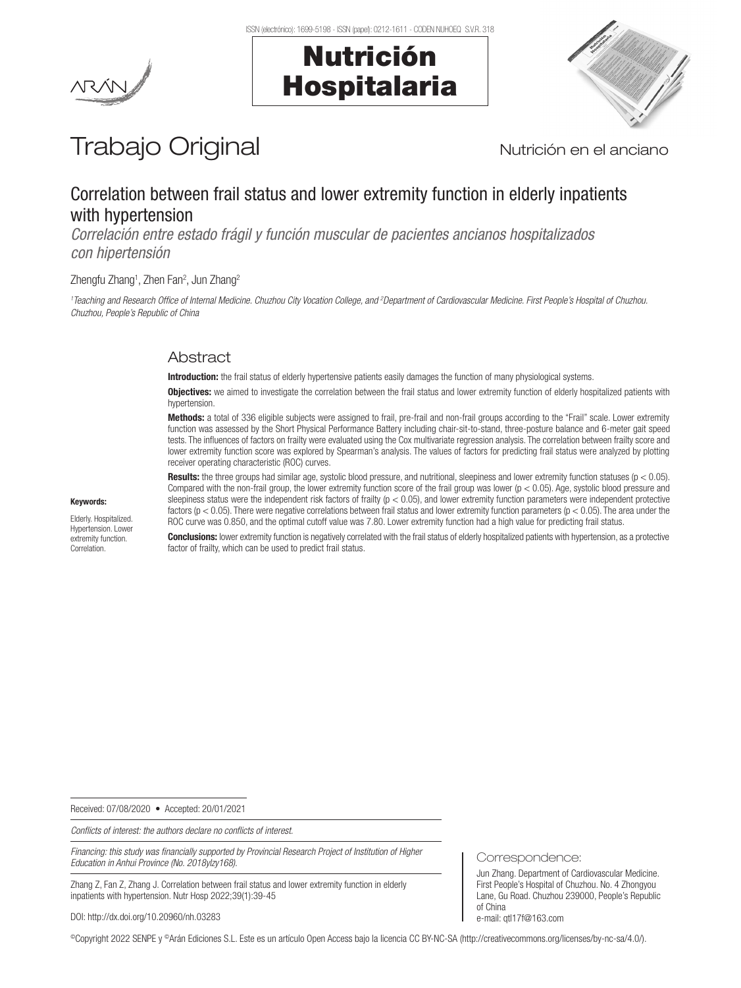Nutrición

Hospitalaria



# Trabajo Original Nutrición en el anciano

# Correlation between frail status and lower extremity function in elderly inpatients with hypertension

*Correlación entre estado frágil y función muscular de pacientes ancianos hospitalizados con hipertensión*

# Zhengfu Zhang<sup>1</sup>, Zhen Fan<sup>2</sup>, Jun Zhang<sup>2</sup>

*1 Teaching and Research Office of Internal Medicine. Chuzhou City Vocation College, and 2 Department of Cardiovascular Medicine. First People's Hospital of Chuzhou. Chuzhou, People's Republic of China*

# Abstract

Introduction: the frail status of elderly hypertensive patients easily damages the function of many physiological systems.

**Objectives:** we aimed to investigate the correlation between the frail status and lower extremity function of elderly hospitalized patients with hypertension.

Methods: a total of 336 eligible subjects were assigned to frail, pre-frail and non-frail groups according to the "Frail" scale. Lower extremity function was assessed by the Short Physical Performance Battery including chair-sit-to-stand, three-posture balance and 6-meter gait speed tests. The influences of factors on frailty were evaluated using the Cox multivariate regression analysis. The correlation between frailty score and lower extremity function score was explored by Spearman's analysis. The values of factors for predicting frail status were analyzed by plotting receiver operating characteristic (ROC) curves.

**Results:** the three groups had similar age, systolic blood pressure, and nutritional, sleepiness and lower extremity function statuses ( $p < 0.05$ ). Compared with the non-frail group, the lower extremity function score of the frail group was lower  $(p < 0.05)$ . Age, systolic blood pressure and sleepiness status were the independent risk factors of frailty ( $p < 0.05$ ), and lower extremity function parameters were independent protective factors ( $p < 0.05$ ). There were negative correlations between frail status and lower extremity function parameters ( $p < 0.05$ ). The area under the ROC curve was 0.850, and the optimal cutoff value was 7.80. Lower extremity function had a high value for predicting frail status.

**Conclusions:** lower extremity function is negatively correlated with the frail status of elderly hospitalized patients with hypertension, as a protective factor of frailty, which can be used to predict frail status.

Received: 07/08/2020 • Accepted: 20/01/2021

*Conflicts of interest: the authors declare no conflicts of interest.*

*Financing: this study was financially supported by Provincial Research Project of Institution of Higher Education in Anhui Province (No. 2018ylzy168).*

Zhang Z, Fan Z, Zhang J. Correlation between frail status and lower extremity function in elderly inpatients with hypertension. Nutr Hosp 2022;39(1):39-45

DOI: http://dx.doi.org/10.20960/nh.03283

©Copyright 2022 SENPE y ©Arán Ediciones S.L. Este es un artículo Open Access bajo la licencia CC BY-NC-SA (http://creativecommons.org/licenses/by-nc-sa/4.0/).

Keywords:

Elderly. Hospitalized. Hypertension. Lower extremity function. Correlation.

Correspondence:

Jun Zhang. Department of Cardiovascular Medicine. First People's Hospital of Chuzhou. No. 4 Zhongyou Lane, Gu Road. Chuzhou 239000, People's Republic of China e-mail: qtl17f@163.com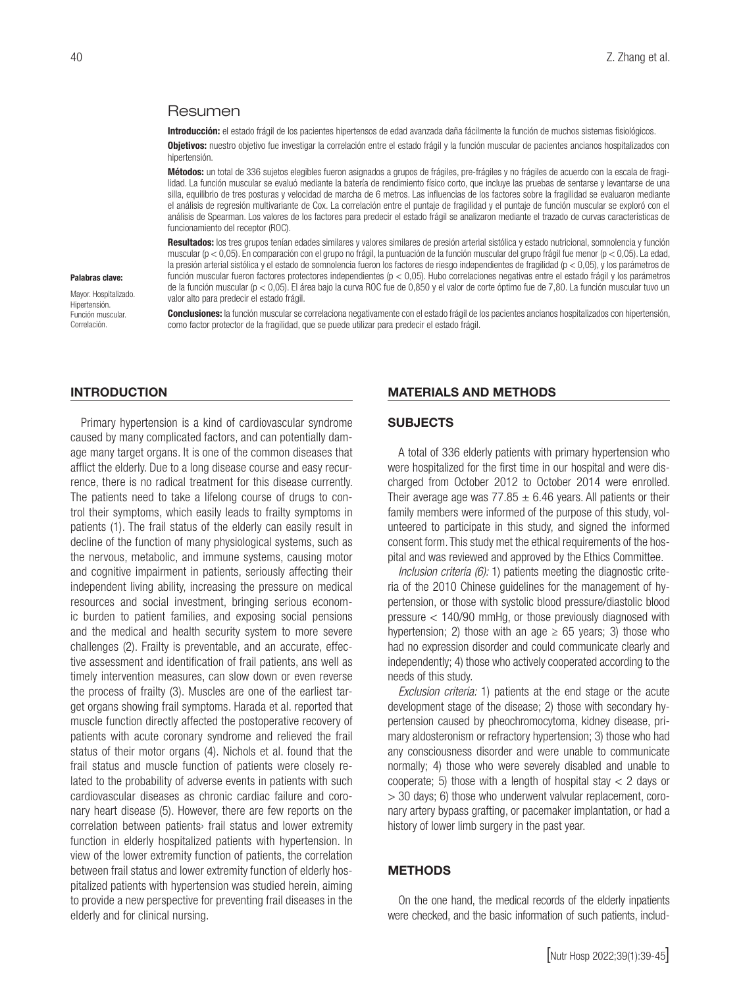# Resumen

Introducción: el estado frágil de los pacientes hipertensos de edad avanzada daña fácilmente la función de muchos sistemas fisiológicos.

Objetivos: nuestro objetivo fue investigar la correlación entre el estado frágil y la función muscular de pacientes ancianos hospitalizados con hipertensión.

Métodos: un total de 336 sujetos elegibles fueron asignados a grupos de frágiles, pre-frágiles y no frágiles de acuerdo con la escala de fragilidad. La función muscular se evaluó mediante la batería de rendimiento físico corto, que incluye las pruebas de sentarse y levantarse de una silla, equilibrio de tres posturas y velocidad de marcha de 6 metros. Las influencias de los factores sobre la fragilidad se evaluaron mediante el análisis de regresión multivariante de Cox. La correlación entre el puntaje de fragilidad y el puntaje de función muscular se exploró con el análisis de Spearman. Los valores de los factores para predecir el estado frágil se analizaron mediante el trazado de curvas características de funcionamiento del receptor (ROC).

Resultados: los tres grupos tenían edades similares y valores similares de presión arterial sistólica y estado nutricional, somnolencia y función muscular (p < 0,05). En comparación con el grupo no frágil, la puntuación de la función muscular del grupo frágil fue menor (p < 0,05). La edad, la presión arterial sistólica y el estado de somnolencia fueron los factores de riesgo independientes de fragilidad (p < 0,05), y los parámetros de función muscular fueron factores protectores independientes (p < 0,05). Hubo correlaciones negativas entre el estado frágil y los parámetros de la función muscular (p < 0,05). El área bajo la curva ROC fue de 0,850 y el valor de corte óptimo fue de 7,80. La función muscular tuvo un valor alto para predecir el estado frágil.

**Conclusiones:** la función muscular se correlaciona negativamente con el estado frágil de los pacientes ancianos hospitalizados con hipertensión, como factor protector de la fragilidad, que se puede utilizar para predecir el estado frágil.

### INTRODUCTION

Palabras clave: Mayor. Hospitalizado. Hipertensión. Función muscular. Correlación.

Primary hypertension is a kind of cardiovascular syndrome caused by many complicated factors, and can potentially damage many target organs. It is one of the common diseases that afflict the elderly. Due to a long disease course and easy recurrence, there is no radical treatment for this disease currently. The patients need to take a lifelong course of drugs to control their symptoms, which easily leads to frailty symptoms in patients (1). The frail status of the elderly can easily result in decline of the function of many physiological systems, such as the nervous, metabolic, and immune systems, causing motor and cognitive impairment in patients, seriously affecting their independent living ability, increasing the pressure on medical resources and social investment, bringing serious economic burden to patient families, and exposing social pensions and the medical and health security system to more severe challenges (2). Frailty is preventable, and an accurate, effective assessment and identification of frail patients, ans well as timely intervention measures, can slow down or even reverse the process of frailty (3). Muscles are one of the earliest target organs showing frail symptoms. Harada et al. reported that muscle function directly affected the postoperative recovery of patients with acute coronary syndrome and relieved the frail status of their motor organs (4). Nichols et al. found that the frail status and muscle function of patients were closely related to the probability of adverse events in patients with such cardiovascular diseases as chronic cardiac failure and coronary heart disease (5). However, there are few reports on the correlation between patients› frail status and lower extremity function in elderly hospitalized patients with hypertension. In view of the lower extremity function of patients, the correlation between frail status and lower extremity function of elderly hospitalized patients with hypertension was studied herein, aiming to provide a new perspective for preventing frail diseases in the elderly and for clinical nursing.

#### MATERIALS AND METHODS

#### **SUBJECTS**

A total of 336 elderly patients with primary hypertension who were hospitalized for the first time in our hospital and were discharged from October 2012 to October 2014 were enrolled. Their average age was  $77.85 \pm 6.46$  years. All patients or their family members were informed of the purpose of this study, volunteered to participate in this study, and signed the informed consent form. This study met the ethical requirements of the hospital and was reviewed and approved by the Ethics Committee.

*Inclusion criteria (6):* 1) patients meeting the diagnostic criteria of the 2010 Chinese guidelines for the management of hypertension, or those with systolic blood pressure/diastolic blood pressure < 140/90 mmHg, or those previously diagnosed with hypertension; 2) those with an age  $\geq$  65 years; 3) those who had no expression disorder and could communicate clearly and independently; 4) those who actively cooperated according to the needs of this study.

*Exclusion criteria:* 1) patients at the end stage or the acute development stage of the disease; 2) those with secondary hypertension caused by pheochromocytoma, kidney disease, primary aldosteronism or refractory hypertension; 3) those who had any consciousness disorder and were unable to communicate normally; 4) those who were severely disabled and unable to cooperate; 5) those with a length of hospital stay  $<$  2 days or > 30 days; 6) those who underwent valvular replacement, coronary artery bypass grafting, or pacemaker implantation, or had a history of lower limb surgery in the past year.

### METHODS

On the one hand, the medical records of the elderly inpatients were checked, and the basic information of such patients, includ-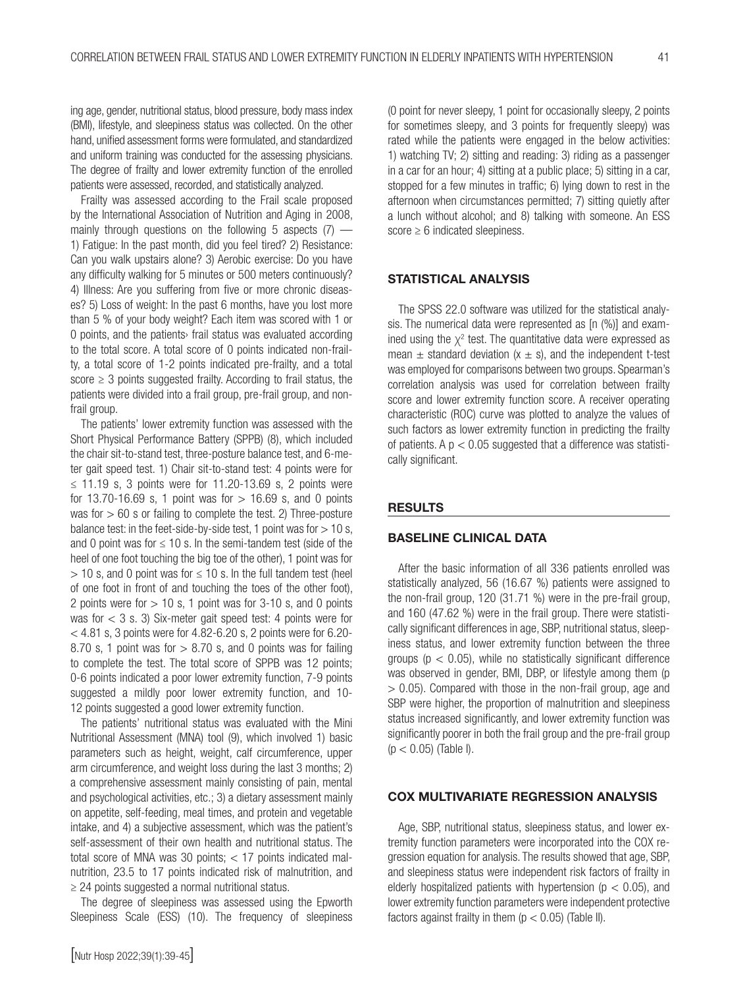ing age, gender, nutritional status, blood pressure, body mass index (BMI), lifestyle, and sleepiness status was collected. On the other hand, unified assessment forms were formulated, and standardized and uniform training was conducted for the assessing physicians. The degree of frailty and lower extremity function of the enrolled patients were assessed, recorded, and statistically analyzed.

Frailty was assessed according to the Frail scale proposed by the International Association of Nutrition and Aging in 2008, mainly through questions on the following 5 aspects (7) — 1) Fatigue: In the past month, did you feel tired? 2) Resistance: Can you walk upstairs alone? 3) Aerobic exercise: Do you have any difficulty walking for 5 minutes or 500 meters continuously? 4) Illness: Are you suffering from five or more chronic diseases? 5) Loss of weight: In the past 6 months, have you lost more than 5 % of your body weight? Each item was scored with 1 or 0 points, and the patients› frail status was evaluated according to the total score. A total score of 0 points indicated non-frailty, a total score of 1-2 points indicated pre-frailty, and a total score  $\geq$  3 points suggested frailty. According to frail status, the patients were divided into a frail group, pre-frail group, and nonfrail group.

The patients' lower extremity function was assessed with the Short Physical Performance Battery (SPPB) (8), which included the chair sit-to-stand test, three-posture balance test, and 6-meter gait speed test. 1) Chair sit-to-stand test: 4 points were for ≤ 11.19 s, 3 points were for 11.20-13.69 s, 2 points were for 13.70-16.69 s, 1 point was for  $> 16.69$  s, and 0 points was for  $> 60$  s or failing to complete the test. 2) Three-posture balance test: in the feet-side-by-side test, 1 point was for  $> 10$  s, and 0 point was for  $\leq 10$  s. In the semi-tandem test (side of the heel of one foot touching the big toe of the other), 1 point was for  $>$  10 s, and 0 point was for  $\leq$  10 s. In the full tandem test (heel of one foot in front of and touching the toes of the other foot), 2 points were for  $> 10$  s, 1 point was for 3-10 s, and 0 points was for < 3 s. 3) Six-meter gait speed test: 4 points were for  $<$  4.81 s, 3 points were for 4.82-6.20 s, 2 points were for 6.20-8.70 s, 1 point was for  $> 8.70$  s, and 0 points was for failing to complete the test. The total score of SPPB was 12 points; 0-6 points indicated a poor lower extremity function, 7-9 points suggested a mildly poor lower extremity function, and 10- 12 points suggested a good lower extremity function.

The patients' nutritional status was evaluated with the Mini Nutritional Assessment (MNA) tool (9), which involved 1) basic parameters such as height, weight, calf circumference, upper arm circumference, and weight loss during the last 3 months; 2) a comprehensive assessment mainly consisting of pain, mental and psychological activities, etc.; 3) a dietary assessment mainly on appetite, self-feeding, meal times, and protein and vegetable intake, and 4) a subjective assessment, which was the patient's self-assessment of their own health and nutritional status. The total score of MNA was 30 points; < 17 points indicated malnutrition, 23.5 to 17 points indicated risk of malnutrition, and ≥ 24 points suggested a normal nutritional status.

The degree of sleepiness was assessed using the Epworth Sleepiness Scale (ESS) (10). The frequency of sleepiness (0 point for never sleepy, 1 point for occasionally sleepy, 2 points for sometimes sleepy, and 3 points for frequently sleepy) was rated while the patients were engaged in the below activities: 1) watching TV; 2) sitting and reading: 3) riding as a passenger in a car for an hour; 4) sitting at a public place; 5) sitting in a car, stopped for a few minutes in traffic; 6) lying down to rest in the afternoon when circumstances permitted; 7) sitting quietly after a lunch without alcohol; and 8) talking with someone. An ESS score  $\geq 6$  indicated sleepiness.

# STATISTICAL ANALYSIS

The SPSS 22.0 software was utilized for the statistical analysis. The numerical data were represented as [n (%)] and examined using the  $\chi^2$  test. The quantitative data were expressed as mean  $\pm$  standard deviation (x  $\pm$  s), and the independent t-test was employed for comparisons between two groups. Spearman's correlation analysis was used for correlation between frailty score and lower extremity function score. A receiver operating characteristic (ROC) curve was plotted to analyze the values of such factors as lower extremity function in predicting the frailty of patients. A  $p < 0.05$  suggested that a difference was statistically significant.

#### RESULTS

# BASELINE CLINICAL DATA

After the basic information of all 336 patients enrolled was statistically analyzed, 56 (16.67 %) patients were assigned to the non-frail group, 120 (31.71 %) were in the pre-frail group, and 160 (47.62 %) were in the frail group. There were statistically significant differences in age, SBP, nutritional status, sleepiness status, and lower extremity function between the three groups ( $p < 0.05$ ), while no statistically significant difference was observed in gender, BMI, DBP, or lifestyle among them (p  $> 0.05$ ). Compared with those in the non-frail group, age and SBP were higher, the proportion of malnutrition and sleepiness status increased significantly, and lower extremity function was significantly poorer in both the frail group and the pre-frail group  $(p < 0.05)$  (Table I).

# COX MULTIVARIATE REGRESSION ANALYSIS

Age, SBP, nutritional status, sleepiness status, and lower extremity function parameters were incorporated into the COX regression equation for analysis. The results showed that age, SBP, and sleepiness status were independent risk factors of frailty in elderly hospitalized patients with hypertension ( $p < 0.05$ ), and lower extremity function parameters were independent protective factors against frailty in them  $(p < 0.05)$  (Table II).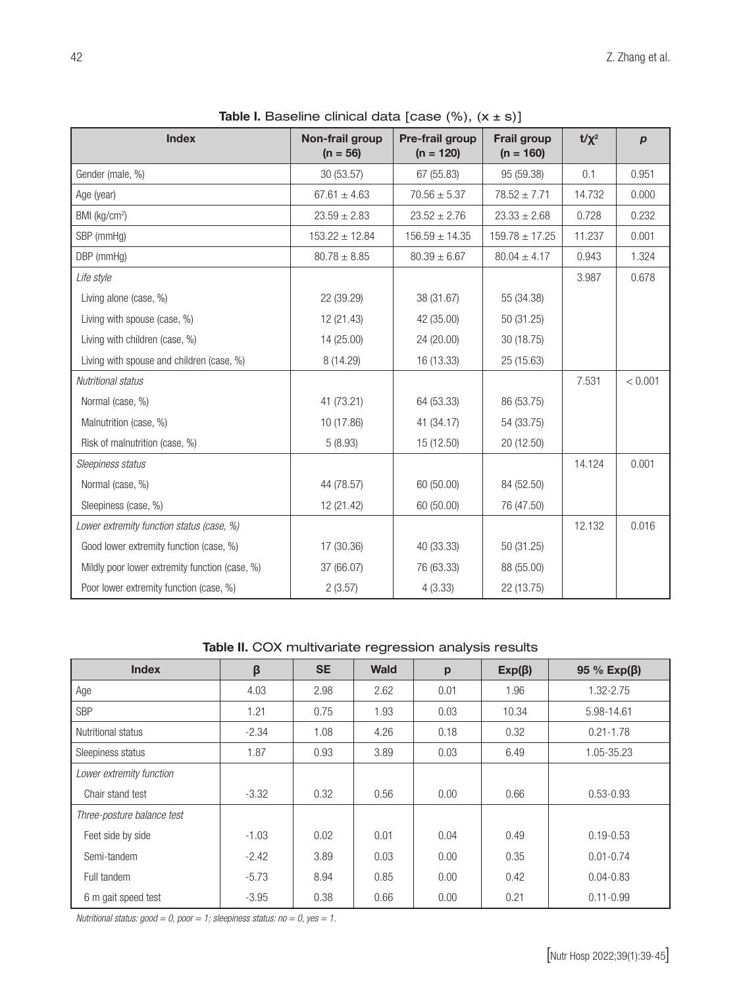| <b>Index</b>                                   | Non-frail group<br>$(n = 56)$ | Pre-frail group<br>$(n = 120)$ | <b>Frail group</b><br>$(n = 160)$ | $t/\chi^2$ | $\boldsymbol{p}$ |
|------------------------------------------------|-------------------------------|--------------------------------|-----------------------------------|------------|------------------|
| Gender (male, %)                               | 30 (53.57)                    | 67 (55.83)                     | 95 (59.38)                        | 0.1        | 0.951            |
| Age (year)                                     | $67.61 \pm 4.63$              | $70.56 \pm 5.37$               | $78.52 \pm 7.71$                  | 14.732     | 0.000            |
| BMI (kg/cm <sup>2</sup> )                      | $23.59 \pm 2.83$              | $23.52 \pm 2.76$               | $23.33 \pm 2.68$                  | 0.728      | 0.232            |
| SBP (mmHg)                                     | $153.22 \pm 12.84$            | $156.59 \pm 14.35$             | $159.78 \pm 17.25$                | 11.237     | 0.001            |
| DBP (mmHg)                                     | $80.78 \pm 8.85$              | $80.39 \pm 6.67$               | $80.04 \pm 4.17$                  | 0.943      | 1.324            |
| Life style                                     |                               |                                |                                   | 3.987      | 0.678            |
| Living alone (case, %)                         | 22 (39.29)                    | 38 (31.67)                     | 55 (34.38)                        |            |                  |
| Living with spouse (case, %)                   | 12 (21.43)                    | 42 (35.00)                     | 50 (31.25)                        |            |                  |
| Living with children (case, %)                 | 14 (25.00)                    | 24 (20.00)                     | 30 (18.75)                        |            |                  |
| Living with spouse and children (case, %)      | 8 (14.29)                     | 16 (13.33)                     | 25 (15.63)                        |            |                  |
| Nutritional status                             |                               |                                |                                   | 7.531      | < 0.001          |
| Normal (case, %)                               | 41 (73.21)                    | 64 (53.33)                     | 86 (53.75)                        |            |                  |
| Malnutrition (case, %)                         | 10 (17.86)                    | 41 (34.17)                     | 54 (33.75)                        |            |                  |
| Risk of malnutrition (case, %)                 | 5(8.93)                       | 15 (12.50)                     | 20 (12.50)                        |            |                  |
| Sleepiness status                              |                               |                                |                                   | 14.124     | 0.001            |
| Normal (case, %)                               | 44 (78.57)                    | 60 (50.00)                     | 84 (52.50)                        |            |                  |
| Sleepiness (case, %)                           | 12 (21.42)                    | 60 (50.00)                     | 76 (47.50)                        |            |                  |
| Lower extremity function status (case, %)      |                               |                                |                                   | 12.132     | 0.016            |
| Good lower extremity function (case, %)        | 17 (30.36)                    | 40 (33.33)                     | 50 (31.25)                        |            |                  |
| Mildly poor lower extremity function (case, %) | 37 (66.07)                    | 76 (63.33)                     | 88 (55.00)                        |            |                  |
| Poor lower extremity function (case, %)        | 2(3.57)                       | 4(3.33)                        | 22 (13.75)                        |            |                  |

**Table I.** Baseline clinical data [case  $(\%)$ ,  $(x \pm s)$ ]

Table II. COX multivariate regression analysis results

| <b>Index</b>               | β       | <b>SE</b> | Wald | p    | $Exp(\beta)$ | 95 % $Exp(\beta)$ |
|----------------------------|---------|-----------|------|------|--------------|-------------------|
| Age                        | 4.03    | 2.98      | 2.62 | 0.01 | 1.96         | 1.32-2.75         |
| <b>SBP</b>                 | 1.21    | 0.75      | 1.93 | 0.03 | 10.34        | 5.98-14.61        |
| Nutritional status         | $-2.34$ | 1.08      | 4.26 | 0.18 | 0.32         | $0.21 - 1.78$     |
| Sleepiness status          | 1.87    | 0.93      | 3.89 | 0.03 | 6.49         | 1.05-35.23        |
| Lower extremity function   |         |           |      |      |              |                   |
| Chair stand test           | $-3.32$ | 0.32      | 0.56 | 0.00 | 0.66         | $0.53 - 0.93$     |
| Three-posture balance test |         |           |      |      |              |                   |
| Feet side by side          | $-1.03$ | 0.02      | 0.01 | 0.04 | 0.49         | $0.19 - 0.53$     |
| Semi-tandem                | $-2.42$ | 3.89      | 0.03 | 0.00 | 0.35         | $0.01 - 0.74$     |
| Full tandem                | $-5.73$ | 8.94      | 0.85 | 0.00 | 0.42         | $0.04 - 0.83$     |
| 6 m gait speed test        | $-3.95$ | 0.38      | 0.66 | 0.00 | 0.21         | $0.11 - 0.99$     |

*Nutritional status: good = 0, poor = 1; sleepiness status: no = 0, yes = 1.*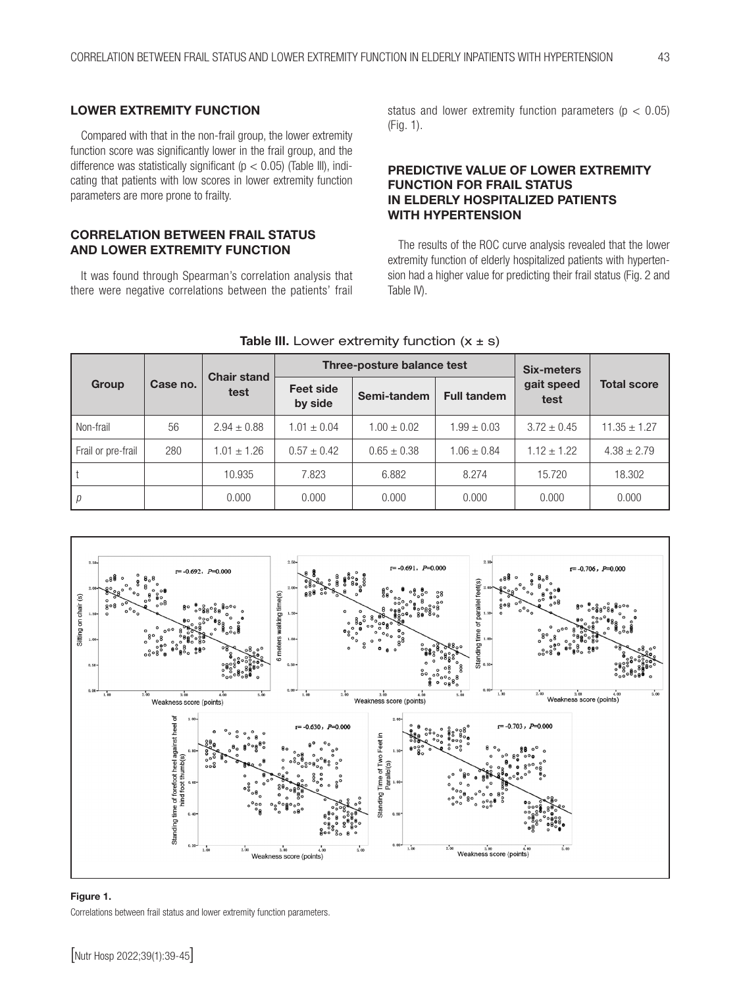# LOWER EXTREMITY FUNCTION

Compared with that in the non-frail group, the lower extremity function score was significantly lower in the frail group, and the difference was statistically significant ( $p < 0.05$ ) (Table III), indicating that patients with low scores in lower extremity function parameters are more prone to frailty.

# CORRELATION BETWEEN FRAIL STATUS AND LOWER EXTREMITY FUNCTION

It was found through Spearman's correlation analysis that there were negative correlations between the patients' frail

status and lower extremity function parameters ( $p < 0.05$ ) (Fig. 1).

# PREDICTIVE VALUE OF LOWER EXTREMITY FUNCTION FOR FRAIL STATUS IN ELDERLY HOSPITALIZED PATIENTS WITH HYPERTENSION

The results of the ROC curve analysis revealed that the lower extremity function of elderly hospitalized patients with hypertension had a higher value for predicting their frail status (Fig. 2 and Table IV).

| Group              | Case no. | <b>Chair stand</b><br>test |                             | Three-posture balance test | <b>Six-meters</b>  |                    |                    |
|--------------------|----------|----------------------------|-----------------------------|----------------------------|--------------------|--------------------|--------------------|
|                    |          |                            | <b>Feet side</b><br>by side | Semi-tandem                | <b>Full tandem</b> | gait speed<br>test | <b>Total score</b> |
| Non-frail          | 56       | $2.94 \pm 0.88$            | $1.01 \pm 0.04$             | $1.00 \pm 0.02$            | $1.99 \pm 0.03$    | $3.72 \pm 0.45$    | $11.35 \pm 1.27$   |
| Frail or pre-frail | 280      | $1.01 \pm 1.26$            | $0.57 \pm 0.42$             | $0.65 \pm 0.38$            | $1.06 \pm 0.84$    | $1.12 \pm 1.22$    | $4.38 \pm 2.79$    |
|                    |          | 10.935                     | 7.823                       | 6.882                      | 8.274              | 15.720             | 18.302             |
| р                  |          | 0.000                      | 0.000                       | 0.000                      | 0.000              | 0.000              | 0.000              |





# Figure 1.

Correlations between frail status and lower extremity function parameters.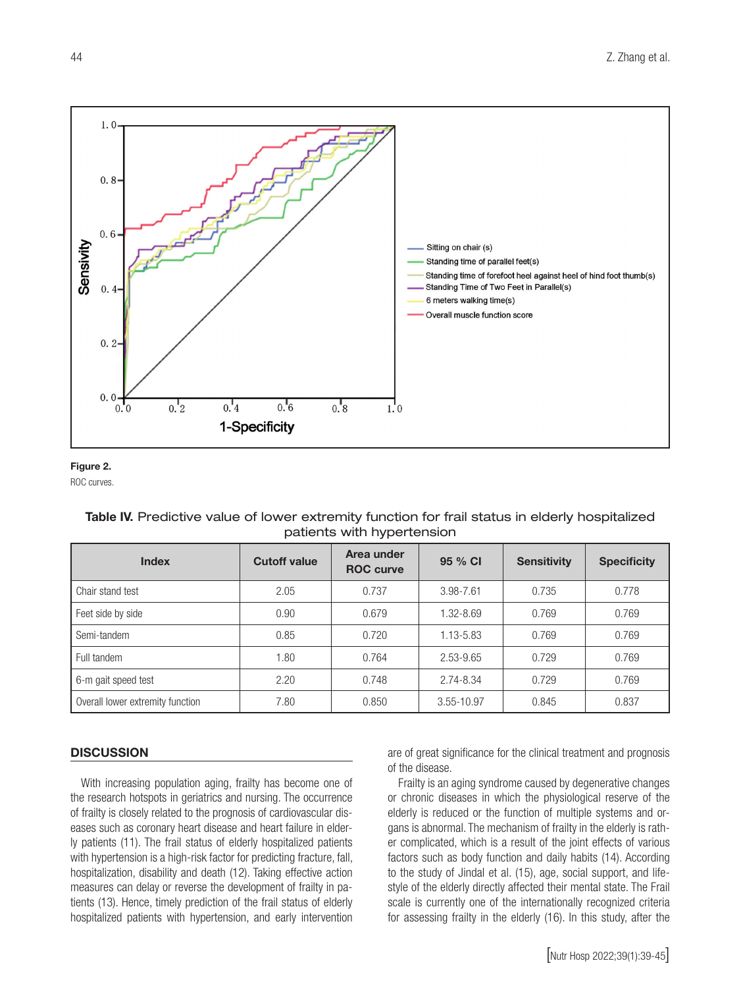

# Figure 2.

ROC curves.

# Table IV. Predictive value of lower extremity function for frail status in elderly hospitalized patients with hypertension

| <b>Index</b>                     | <b>Cutoff value</b> | Area under<br><b>ROC</b> curve | 95 % CI       | <b>Sensitivity</b> | <b>Specificity</b> |
|----------------------------------|---------------------|--------------------------------|---------------|--------------------|--------------------|
| Chair stand test                 | 2.05                | 0.737                          | 3.98-7.61     | 0.735              | 0.778              |
| Feet side by side                | 0.90                | 0.679                          | $1.32 - 8.69$ | 0.769              | 0.769              |
| Semi-tandem                      | 0.85                | 0.720                          | 1.13-5.83     | 0.769              | 0.769              |
| Full tandem                      | 1.80                | 0.764                          | 2.53-9.65     | 0.729              | 0.769              |
| 6-m gait speed test              | 2.20                | 0.748                          | 2.74-8.34     | 0.729              | 0.769              |
| Overall lower extremity function | 7.80                | 0.850                          | 3.55-10.97    | 0.845              | 0.837              |

#### **DISCUSSION**

With increasing population aging, frailty has become one of the research hotspots in geriatrics and nursing. The occurrence of frailty is closely related to the prognosis of cardiovascular diseases such as coronary heart disease and heart failure in elderly patients (11). The frail status of elderly hospitalized patients with hypertension is a high-risk factor for predicting fracture, fall, hospitalization, disability and death (12). Taking effective action measures can delay or reverse the development of frailty in patients (13). Hence, timely prediction of the frail status of elderly hospitalized patients with hypertension, and early intervention

are of great significance for the clinical treatment and prognosis of the disease.

Frailty is an aging syndrome caused by degenerative changes or chronic diseases in which the physiological reserve of the elderly is reduced or the function of multiple systems and organs is abnormal. The mechanism of frailty in the elderly is rather complicated, which is a result of the joint effects of various factors such as body function and daily habits (14). According to the study of Jindal et al. (15), age, social support, and lifestyle of the elderly directly affected their mental state. The Frail scale is currently one of the internationally recognized criteria for assessing frailty in the elderly (16). In this study, after the